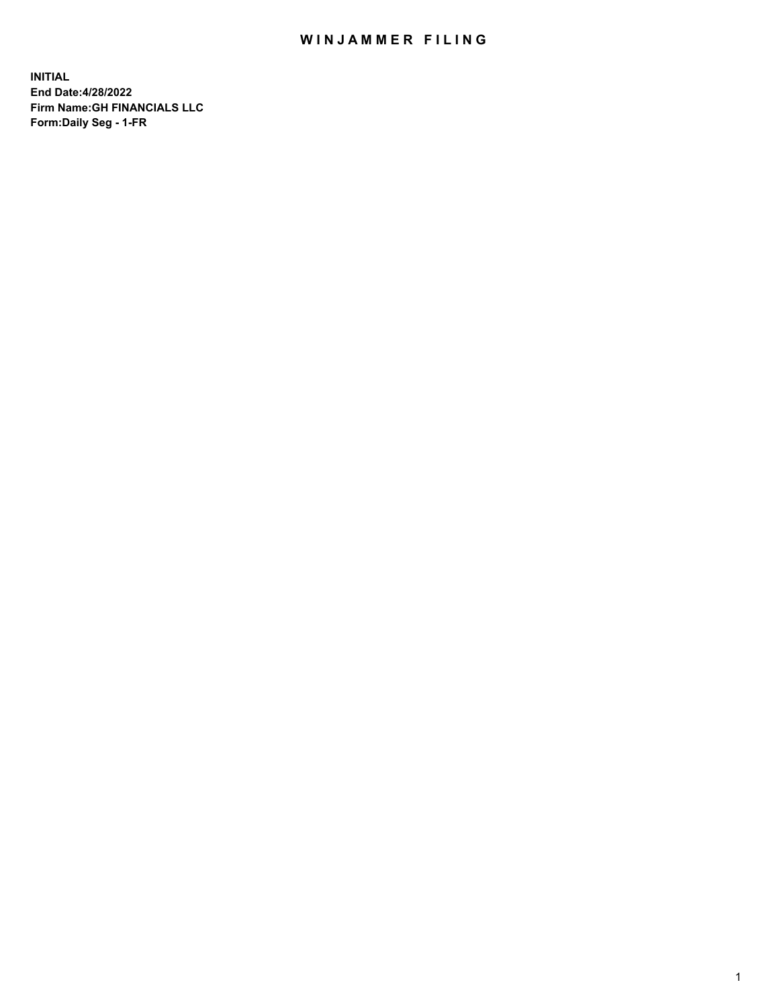## WIN JAMMER FILING

**INITIAL End Date:4/28/2022 Firm Name:GH FINANCIALS LLC Form:Daily Seg - 1-FR**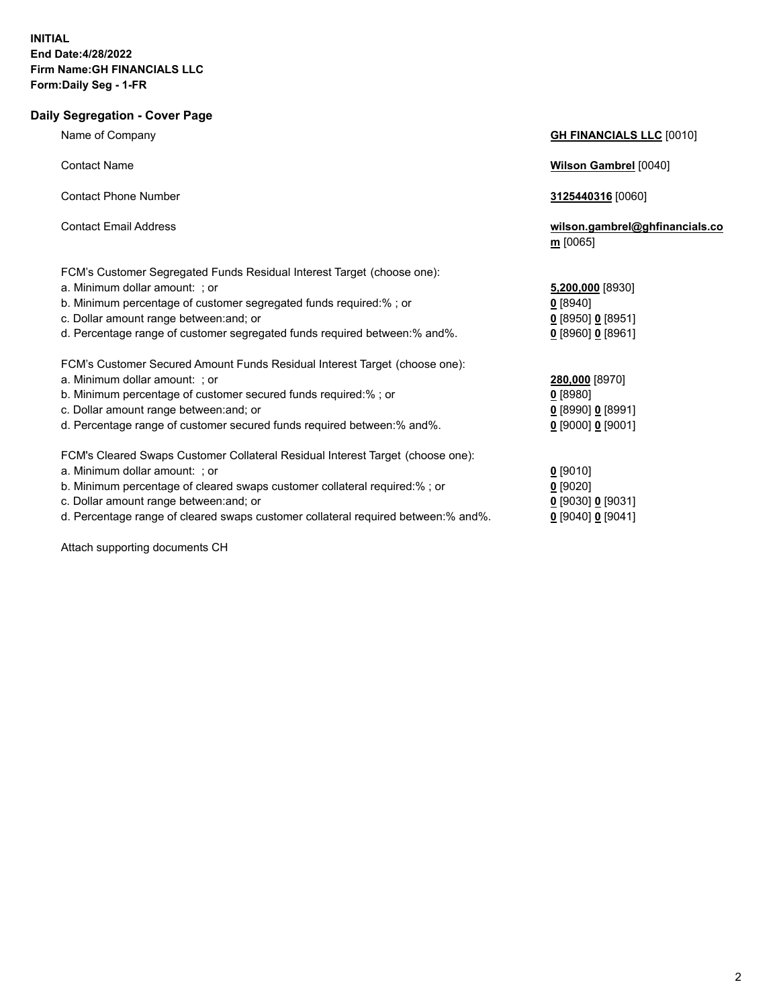## **Daily Segregation - Cover Page** Name of Company **GH FINANCIALS LLC** [0010] Contact Name **Wilson Gambrel** [0040] Contact Phone Number **3125440316** [0060] Contact Email Address **wilson.gambrel@ghfinancials.co m** [0065] FCM's Customer Segregated Funds Residual Interest Target (choose one): a. Minimum dollar amount: ; or **5,200,000** [8930] b. Minimum percentage of customer segregated funds required:% ; or **0** [8940] c. Dollar amount range between:and; or **0** [8950] **0** [8951] d. Percentage range of customer segregated funds required between:% and%. **0** [8960] **0** [8961] FCM's Customer Secured Amount Funds Residual Interest Target (choose one): a. Minimum dollar amount: ; or **280,000** [8970] b. Minimum percentage of customer secured funds required:% ; or **0** [8980] c. Dollar amount range between:and; or **0** [8990] **0** [8991] d. Percentage range of customer secured funds required between:% and%. **0** [9000] **0** [9001] FCM's Cleared Swaps Customer Collateral Residual Interest Target (choose one): a. Minimum dollar amount: ; or **0** [9010] b. Minimum percentage of cleared swaps customer collateral required:% ; or **0** [9020] c. Dollar amount range between:and; or **0** [9030] **0** [9031]

d. Percentage range of cleared swaps customer collateral required between:% and%. **0** [9040] **0** [9041]

Attach supporting documents CH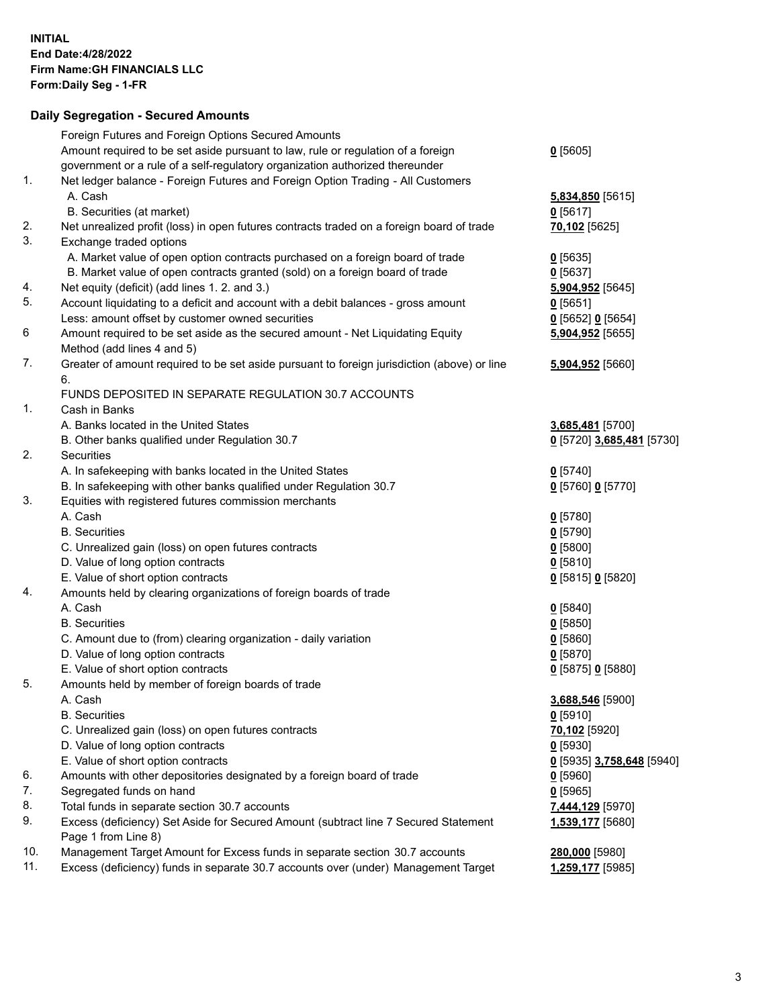## **Daily Segregation - Secured Amounts**

|     | Foreign Futures and Foreign Options Secured Amounts                                                        |                           |
|-----|------------------------------------------------------------------------------------------------------------|---------------------------|
|     | Amount required to be set aside pursuant to law, rule or regulation of a foreign                           | $0$ [5605]                |
|     | government or a rule of a self-regulatory organization authorized thereunder                               |                           |
| 1.  | Net ledger balance - Foreign Futures and Foreign Option Trading - All Customers                            |                           |
|     | A. Cash                                                                                                    | 5,834,850 [5615]          |
|     | B. Securities (at market)                                                                                  | 0[5617]                   |
| 2.  | Net unrealized profit (loss) in open futures contracts traded on a foreign board of trade                  | 70,102 [5625]             |
| 3.  | Exchange traded options                                                                                    |                           |
|     | A. Market value of open option contracts purchased on a foreign board of trade                             | $0$ [5635]                |
|     | B. Market value of open contracts granted (sold) on a foreign board of trade                               | $0$ [5637]                |
| 4.  | Net equity (deficit) (add lines 1. 2. and 3.)                                                              | 5,904,952 [5645]          |
| 5.  | Account liquidating to a deficit and account with a debit balances - gross amount                          | 0[5651]                   |
|     | Less: amount offset by customer owned securities                                                           | 0 [5652] 0 [5654]         |
| 6   | Amount required to be set aside as the secured amount - Net Liquidating Equity                             | 5,904,952 [5655]          |
|     | Method (add lines 4 and 5)                                                                                 |                           |
| 7.  | Greater of amount required to be set aside pursuant to foreign jurisdiction (above) or line                | 5,904,952 [5660]          |
|     | 6.                                                                                                         |                           |
|     | FUNDS DEPOSITED IN SEPARATE REGULATION 30.7 ACCOUNTS                                                       |                           |
| 1.  | Cash in Banks                                                                                              |                           |
|     | A. Banks located in the United States                                                                      | 3,685,481 [5700]          |
|     | B. Other banks qualified under Regulation 30.7                                                             | 0 [5720] 3,685,481 [5730] |
| 2.  | Securities                                                                                                 |                           |
|     | A. In safekeeping with banks located in the United States                                                  | $0$ [5740]                |
|     | B. In safekeeping with other banks qualified under Regulation 30.7                                         | 0 [5760] 0 [5770]         |
| 3.  | Equities with registered futures commission merchants                                                      |                           |
|     | A. Cash                                                                                                    | $0$ [5780]                |
|     | <b>B.</b> Securities                                                                                       | $0$ [5790]                |
|     | C. Unrealized gain (loss) on open futures contracts                                                        | $0$ [5800]                |
|     | D. Value of long option contracts                                                                          | $0$ [5810]                |
|     | E. Value of short option contracts                                                                         | 0 [5815] 0 [5820]         |
| 4.  | Amounts held by clearing organizations of foreign boards of trade                                          |                           |
|     | A. Cash                                                                                                    | $0$ [5840]                |
|     | <b>B.</b> Securities                                                                                       | $0$ [5850]                |
|     |                                                                                                            |                           |
|     | C. Amount due to (from) clearing organization - daily variation                                            | 0[5860]                   |
|     | D. Value of long option contracts                                                                          | $0$ [5870]                |
|     | E. Value of short option contracts                                                                         | 0 [5875] 0 [5880]         |
| 5.  | Amounts held by member of foreign boards of trade                                                          |                           |
|     | A. Cash                                                                                                    | 3,688,546 [5900]          |
|     | <b>B.</b> Securities                                                                                       | $0$ [5910]                |
|     | C. Unrealized gain (loss) on open futures contracts                                                        | 70,102 [5920]             |
|     | D. Value of long option contracts                                                                          | $0$ [5930]                |
|     | E. Value of short option contracts                                                                         | 0 [5935] 3,758,648 [5940] |
| 6.  | Amounts with other depositories designated by a foreign board of trade                                     | $0$ [5960]                |
| 7.  | Segregated funds on hand                                                                                   | $0$ [5965]                |
| 8.  | Total funds in separate section 30.7 accounts                                                              | <u>7,444,129</u> [5970]   |
| 9.  | Excess (deficiency) Set Aside for Secured Amount (subtract line 7 Secured Statement<br>Page 1 from Line 8) | 1,539,177 [5680]          |
| 10. | Management Target Amount for Excess funds in separate section 30.7 accounts                                | 280,000 [5980]            |
| 11. | Excess (deficiency) funds in separate 30.7 accounts over (under) Management Target                         | 1,259,177 [5985]          |
|     |                                                                                                            |                           |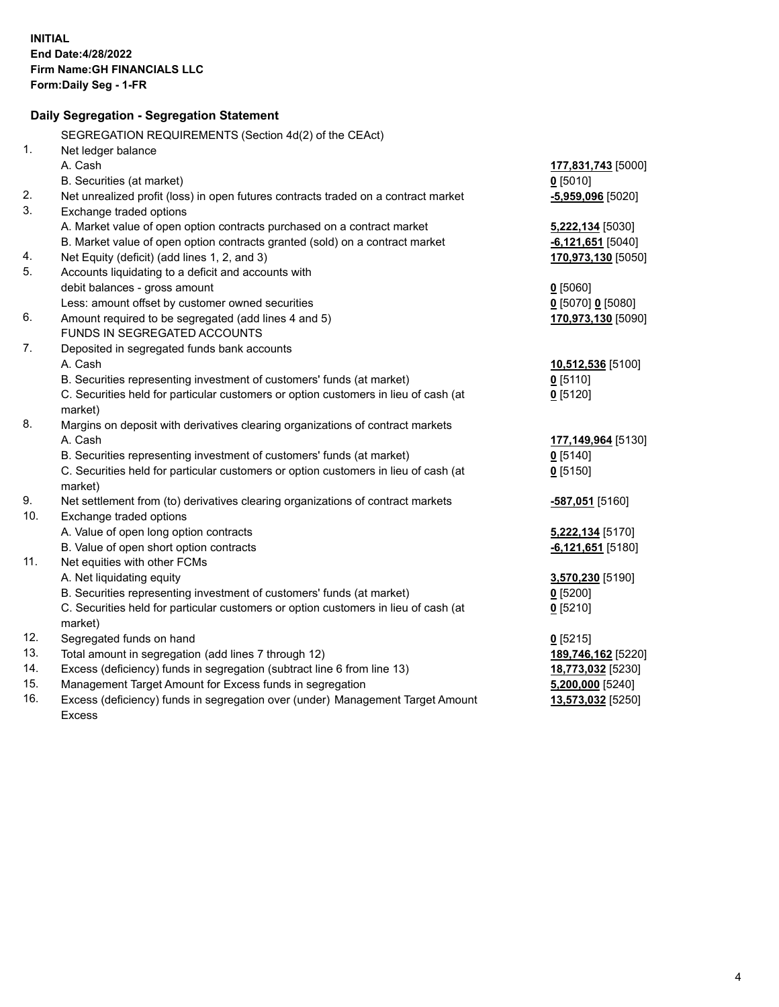|     | Daily Segregation - Segregation Statement                                           |                            |
|-----|-------------------------------------------------------------------------------------|----------------------------|
|     | SEGREGATION REQUIREMENTS (Section 4d(2) of the CEAct)                               |                            |
| 1.  | Net ledger balance                                                                  |                            |
|     | A. Cash                                                                             | 177,831,743 [5000]         |
|     | B. Securities (at market)                                                           | $0$ [5010]                 |
| 2.  | Net unrealized profit (loss) in open futures contracts traded on a contract market  | $-5,959,096$ [5020]        |
| 3.  | Exchange traded options                                                             |                            |
|     | A. Market value of open option contracts purchased on a contract market             | 5,222,134 [5030]           |
|     | B. Market value of open option contracts granted (sold) on a contract market        | $-6,121,651$ [5040]        |
| 4.  | Net Equity (deficit) (add lines 1, 2, and 3)                                        | 170,973,130 [5050]         |
| 5.  | Accounts liquidating to a deficit and accounts with                                 |                            |
|     | debit balances - gross amount                                                       | $0$ [5060]                 |
|     | Less: amount offset by customer owned securities                                    | 0 [5070] 0 [5080]          |
| 6.  | Amount required to be segregated (add lines 4 and 5)                                | 170,973,130 [5090]         |
|     | FUNDS IN SEGREGATED ACCOUNTS                                                        |                            |
| 7.  | Deposited in segregated funds bank accounts                                         |                            |
|     | A. Cash                                                                             | 10,512,536 [5100]          |
|     | B. Securities representing investment of customers' funds (at market)               | $0$ [5110]                 |
|     | C. Securities held for particular customers or option customers in lieu of cash (at | $0$ [5120]                 |
|     | market)                                                                             |                            |
| 8.  | Margins on deposit with derivatives clearing organizations of contract markets      |                            |
|     | A. Cash                                                                             | 177,149,964 [5130]         |
|     | B. Securities representing investment of customers' funds (at market)               | $0$ [5140]                 |
|     | C. Securities held for particular customers or option customers in lieu of cash (at | $0$ [5150]                 |
|     | market)                                                                             |                            |
| 9.  | Net settlement from (to) derivatives clearing organizations of contract markets     | -587,051 <sub>[5160]</sub> |
| 10. | Exchange traded options                                                             |                            |
|     | A. Value of open long option contracts                                              | 5,222,134 [5170]           |
|     | B. Value of open short option contracts                                             | $-6,121,651$ [5180]        |
| 11. | Net equities with other FCMs                                                        |                            |
|     | A. Net liquidating equity                                                           | 3,570,230 [5190]           |
|     | B. Securities representing investment of customers' funds (at market)               | $0$ [5200]                 |
|     | C. Securities held for particular customers or option customers in lieu of cash (at | $0$ [5210]                 |
|     | market)                                                                             |                            |
| 12. | Segregated funds on hand                                                            | $0$ [5215]                 |
| 13. | Total amount in segregation (add lines 7 through 12)                                | 189,746,162 [5220]         |
| 14. | Excess (deficiency) funds in segregation (subtract line 6 from line 13)             | 18,773,032 [5230]          |
| 15. | Management Target Amount for Excess funds in segregation                            | $5,200,000$ [5240]         |
| 16. | Excess (deficiency) funds in segregation over (under) Management Target Amount      | 13,573,032 [5250]          |
|     | <b>Excess</b>                                                                       |                            |